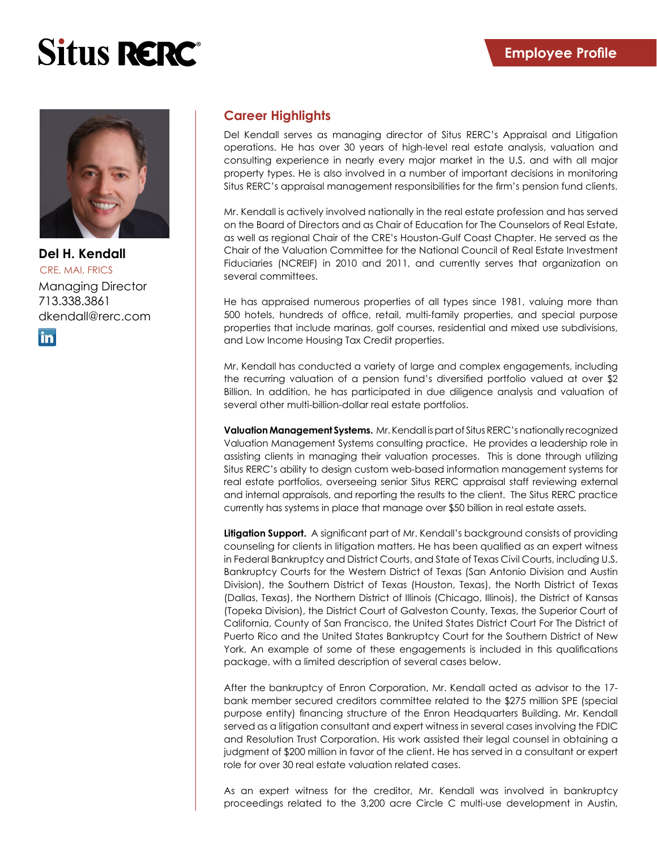# **Situs RERC**<sup>®</sup>



CRE, MAI, FRICS **Del H. Kendall** Managing Director 713.338.3861 dkendall@rerc.com

**in** 

# **Career Highlights**

Del Kendall serves as managing director of Situs RERC's Appraisal and Litigation operations. He has over 30 years of high-level real estate analysis, valuation and consulting experience in nearly every major market in the U.S. and with all major property types. He is also involved in a number of important decisions in monitoring Situs RERC's appraisal management responsibilities for the firm's pension fund clients.

Mr. Kendall is actively involved nationally in the real estate profession and has served on the Board of Directors and as Chair of Education for The Counselors of Real Estate, as well as regional Chair of the CRE's Houston-Gulf Coast Chapter. He served as the Chair of the Valuation Committee for the National Council of Real Estate Investment Fiduciaries (NCREIF) in 2010 and 2011, and currently serves that organization on several committees.

He has appraised numerous properties of all types since 1981, valuing more than 500 hotels, hundreds of office, retail, multi-family properties, and special purpose properties that include marinas, golf courses, residential and mixed use subdivisions, and Low Income Housing Tax Credit properties.

Mr. Kendall has conducted a variety of large and complex engagements, including the recurring valuation of a pension fund's diversified portfolio valued at over \$2 Billion. In addition, he has participated in due diligence analysis and valuation of several other multi-billion-dollar real estate portfolios.

**Valuation Management Systems.** Mr. Kendall is part of Situs RERC's nationally recognized Valuation Management Systems consulting practice. He provides a leadership role in assisting clients in managing their valuation processes. This is done through utilizing Situs RERC's ability to design custom web-based information management systems for real estate portfolios, overseeing senior Situs RERC appraisal staff reviewing external and internal appraisals, and reporting the results to the client. The Situs RERC practice currently has systems in place that manage over \$50 billion in real estate assets.

**Litigation Support.** A significant part of Mr. Kendall's background consists of providing counseling for clients in litigation matters. He has been qualified as an expert witness in Federal Bankruptcy and District Courts, and State of Texas Civil Courts, including U.S. Bankruptcy Courts for the Western District of Texas (San Antonio Division and Austin Division), the Southern District of Texas (Houston, Texas), the North District of Texas (Dallas, Texas), the Northern District of Illinois (Chicago, Illinois), the District of Kansas (Topeka Division), the District Court of Galveston County, Texas, the Superior Court of California, County of San Francisco, the United States District Court For The District of Puerto Rico and the United States Bankruptcy Court for the Southern District of New York. An example of some of these engagements is included in this qualifications package, with a limited description of several cases below.

After the bankruptcy of Enron Corporation, Mr. Kendall acted as advisor to the 17 bank member secured creditors committee related to the \$275 million SPE (special purpose entity) financing structure of the Enron Headquarters Building. Mr. Kendall served as a litigation consultant and expert witness in several cases involving the FDIC and Resolution Trust Corporation. His work assisted their legal counsel in obtaining a judgment of \$200 million in favor of the client. He has served in a consultant or expert role for over 30 real estate valuation related cases.

As an expert witness for the creditor, Mr. Kendall was involved in bankruptcy proceedings related to the 3,200 acre Circle C multi-use development in Austin,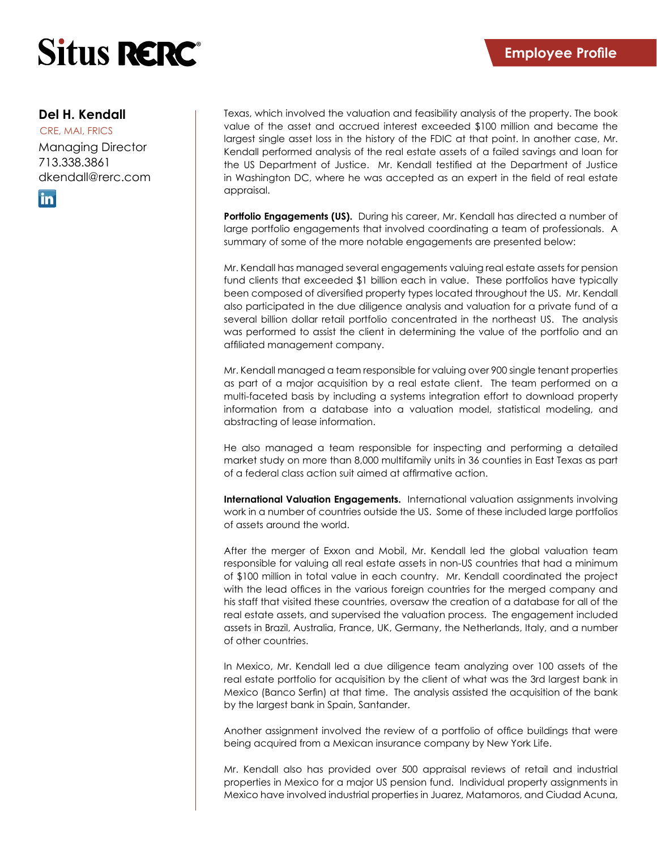

### **Del H. Kendall**

CRE, MAI, FRICS Managing Director 713.338.3861 dkendall@rerc.com

in.

Texas, which involved the valuation and feasibility analysis of the property. The book value of the asset and accrued interest exceeded \$100 million and became the largest single asset loss in the history of the FDIC at that point. In another case, Mr. Kendall performed analysis of the real estate assets of a failed savings and loan for the US Department of Justice. Mr. Kendall testified at the Department of Justice in Washington DC, where he was accepted as an expert in the field of real estate appraisal.

**Portfolio Engagements (US).** During his career, Mr. Kendall has directed a number of large portfolio engagements that involved coordinating a team of professionals. A summary of some of the more notable engagements are presented below:

Mr. Kendall has managed several engagements valuing real estate assets for pension fund clients that exceeded \$1 billion each in value. These portfolios have typically been composed of diversified property types located throughout the US. Mr. Kendall also participated in the due diligence analysis and valuation for a private fund of a several billion dollar retail portfolio concentrated in the northeast US. The analysis was performed to assist the client in determining the value of the portfolio and an affiliated management company.

Mr. Kendall managed a team responsible for valuing over 900 single tenant properties as part of a major acquisition by a real estate client. The team performed on a multi-faceted basis by including a systems integration effort to download property information from a database into a valuation model, statistical modeling, and abstracting of lease information.

He also managed a team responsible for inspecting and performing a detailed market study on more than 8,000 multifamily units in 36 counties in East Texas as part of a federal class action suit aimed at affirmative action.

**International Valuation Engagements.** International valuation assignments involving work in a number of countries outside the US. Some of these included large portfolios of assets around the world.

After the merger of Exxon and Mobil, Mr. Kendall led the global valuation team responsible for valuing all real estate assets in non-US countries that had a minimum of \$100 million in total value in each country. Mr. Kendall coordinated the project with the lead offices in the various foreign countries for the merged company and his staff that visited these countries, oversaw the creation of a database for all of the real estate assets, and supervised the valuation process. The engagement included assets in Brazil, Australia, France, UK, Germany, the Netherlands, Italy, and a number of other countries.

In Mexico, Mr. Kendall led a due diligence team analyzing over 100 assets of the real estate portfolio for acquisition by the client of what was the 3rd largest bank in Mexico (Banco Serfin) at that time. The analysis assisted the acquisition of the bank by the largest bank in Spain, Santander.

Another assignment involved the review of a portfolio of office buildings that were being acquired from a Mexican insurance company by New York Life.

Mr. Kendall also has provided over 500 appraisal reviews of retail and industrial properties in Mexico for a major US pension fund. Individual property assignments in Mexico have involved industrial properties in Juarez, Matamoros, and Ciudad Acuna,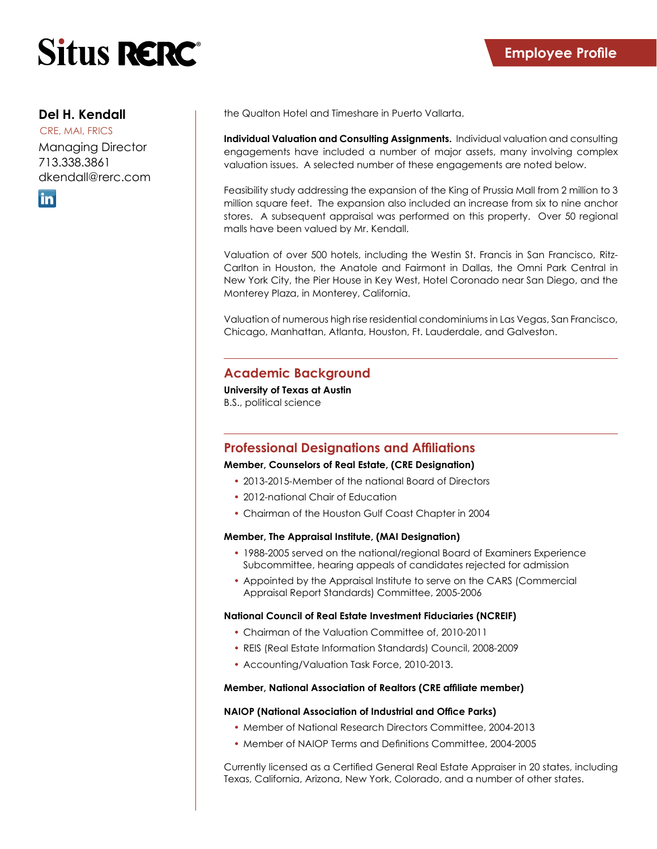

## **Del H. Kendall**

CRE, MAI, FRICS Managing Director 713.338.3861 dkendall@rerc.com



the Qualton Hotel and Timeshare in Puerto Vallarta.

**Individual Valuation and Consulting Assignments.** Individual valuation and consulting engagements have included a number of major assets, many involving complex valuation issues. A selected number of these engagements are noted below.

Feasibility study addressing the expansion of the King of Prussia Mall from 2 million to 3 million square feet. The expansion also included an increase from six to nine anchor stores. A subsequent appraisal was performed on this property. Over 50 regional malls have been valued by Mr. Kendall.

Valuation of over 500 hotels, including the Westin St. Francis in San Francisco, Ritz-Carlton in Houston, the Anatole and Fairmont in Dallas, the Omni Park Central in New York City, the Pier House in Key West, Hotel Coronado near San Diego, and the Monterey Plaza, in Monterey, California.

Valuation of numerous high rise residential condominiums in Las Vegas, San Francisco, Chicago, Manhattan, Atlanta, Houston, Ft. Lauderdale, and Galveston.

## **Academic Background**

**University of Texas at Austin** B.S., political science

## **Professional Designations and Affiliations**

#### **Member, Counselors of Real Estate, (CRE Designation)**

- 2013-2015-Member of the national Board of Directors
- 2012-national Chair of Education
- Chairman of the Houston Gulf Coast Chapter in 2004

#### **Member, The Appraisal Institute, (MAI Designation)**

- 1988-2005 served on the national/regional Board of Examiners Experience Subcommittee, hearing appeals of candidates rejected for admission
- Appointed by the Appraisal Institute to serve on the CARS (Commercial Appraisal Report Standards) Committee, 2005-2006

#### **National Council of Real Estate Investment Fiduciaries (NCREIF)**

- Chairman of the Valuation Committee of, 2010-2011
- REIS (Real Estate Information Standards) Council, 2008-2009
- Accounting/Valuation Task Force, 2010-2013.

#### **Member, National Association of Realtors (CRE affiliate member)**

#### **NAIOP (National Association of Industrial and Office Parks)**

- Member of National Research Directors Committee, 2004-2013
- Member of NAIOP Terms and Definitions Committee, 2004-2005

Currently licensed as a Certified General Real Estate Appraiser in 20 states, including Texas, California, Arizona, New York, Colorado, and a number of other states.